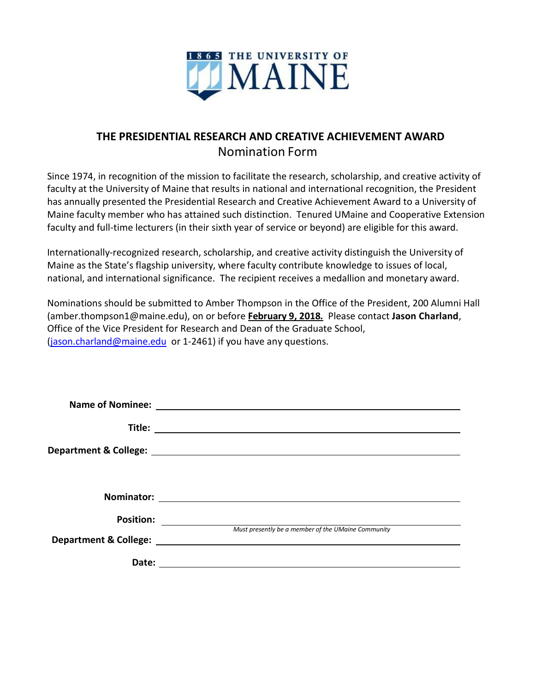

# **THE PRESIDENTIAL RESEARCH AND CREATIVE ACHIEVEMENT AWARD** Nomination Form

Since 1974, in recognition of the mission to facilitate the research, scholarship, and creative activity of faculty at the University of Maine that results in national and international recognition, the President has annually presented the Presidential Research and Creative Achievement Award to a University of Maine faculty member who has attained such distinction. Tenured UMaine and Cooperative Extension faculty and full-time lecturers (in their sixth year of service or beyond) are eligible for this award.

Internationally-recognized research, scholarship, and creative activity distinguish the University of Maine as the State's flagship university, where faculty contribute knowledge to issues of local, national, and international significance. The recipient receives a medallion and monetary award.

Nominations should be submitted to Amber Thompson in the Office of the President, 200 Alumni Hall (amber.thompson1@maine.edu), on or before **February 9, 2018***.* Please contact **Jason Charland**, Office of the Vice President for Research and Dean of the Graduate School, [\(jason.charland@maine.edu](mailto:jason.charland@maine.edu) or 1-2461) if you have any questions.

| <b>Position:</b> |                                                                                                                |
|------------------|----------------------------------------------------------------------------------------------------------------|
|                  | Must presently be a member of the UMaine Community                                                             |
|                  | Department & College: National According to the College of the College of the College of the College of the Co |
| Date:            |                                                                                                                |